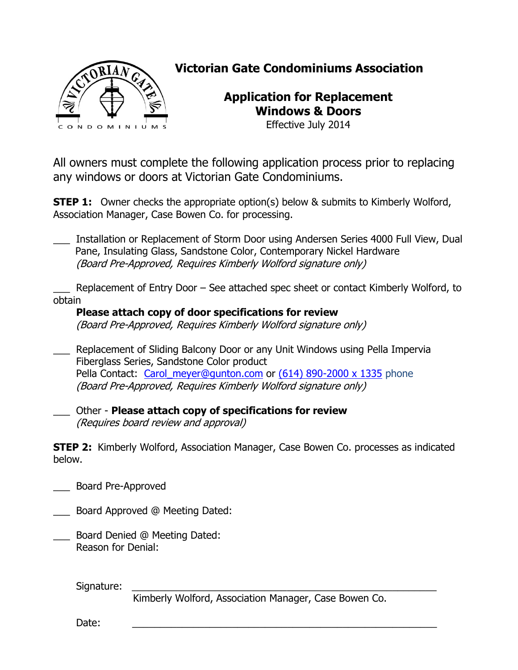

## **Victorian Gate Condominiums Association**

## **Application for Replacement Windows & Doors**

Effective July 2014

All owners must complete the following application process prior to replacing any windows or doors at Victorian Gate Condominiums.

**STEP 1:** Owner checks the appropriate option(s) below & submits to Kimberly Wolford, Association Manager, Case Bowen Co. for processing.

\_\_\_ Installation or Replacement of Storm Door using Andersen Series 4000 Full View, Dual Pane, Insulating Glass, Sandstone Color, Contemporary Nickel Hardware (Board Pre-Approved, Requires Kimberly Wolford signature only)

Replacement of Entry Door – See attached spec sheet or contact Kimberly Wolford, to obtain

## **Please attach copy of door specifications for review**

(Board Pre-Approved, Requires Kimberly Wolford signature only)

\_\_\_ Replacement of Sliding Balcony Door or any Unit Windows using Pella Impervia Fiberglass Series, Sandstone Color product Pella Contact: [Carol\\_meyer@gunton.com](mailto:Carol_meyer@gunton.com) or [\(614\) 890-2000 x 1335](tel:%28614%29%20890-2000%20x%201335) phone (Board Pre-Approved, Requires Kimberly Wolford signature only)

\_\_\_ Other - **Please attach copy of specifications for review** (Requires board review and approval)

**STEP 2:** Kimberly Wolford, Association Manager, Case Bowen Co. processes as indicated below.

\_\_\_ Board Pre-Approved

- \_\_\_ Board Approved @ Meeting Dated:
- \_\_\_ Board Denied @ Meeting Dated: Reason for Denial:

Signature:

Kimberly Wolford, Association Manager, Case Bowen Co.

Date: \_\_\_\_\_\_\_\_\_\_\_\_\_\_\_\_\_\_\_\_\_\_\_\_\_\_\_\_\_\_\_\_\_\_\_\_\_\_\_\_\_\_\_\_\_\_\_\_\_\_\_\_\_\_\_